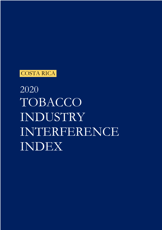

2020 TOBACCO INDUSTRY INTERFERENCE INDEX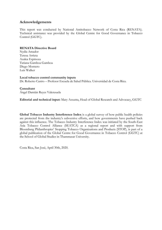# **Acknowledgements**

This report was conducted by National Antitobacco Network of Costa Rica (RENATA). Technical assistance was provided by the Global Centre for Good Governance in Tobacco Control (GGTC).

## **RENATA Directive Board**

Nydia Amador Teresa Arrieta Azalea Espinoza Tatiana Gamboa Gamboa Diego Montero Luis Walker

## **Local tobacco control community inputs**

Dr. Roberto Castro – Profesor Escuela de Salud Pública. Universidad de Costa Rica.

**Consultant** Ángel Damián Reyes Valenzuela

**Editorial and technical input:** Mary Assunta, Head of Global Research and Advocacy, GGTC

**Global Tobacco Industry Interference Index** is a global survey of how public health policies are protected from the industry's subversive efforts, and how governments have pushed back against this influence. The Tobacco Industry Interference Index was initiated by the South-East Asia Tobacco Control Alliance (SEATCA) as a regional report and with support from Bloomberg Philanthropies' Stopping Tobacco Organizations and Products (STOP), is part of a global publication of the Global Centre for Good Governance in Tobacco Control (GGTC) at the School of Global Studies in Thammasat University.

Costa Rica, San José, April 30th, 2020.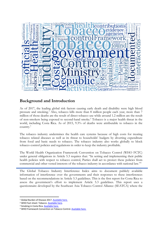

# **Background and Introduction**

As of 2017, the leading global risk factors causing early death and disability were high blood pressure and smoking.<sup>1</sup> Also, tobacco kills more than 8 million people each year, more than 7 million of those deaths are the result of direct tobacco use while around 1.2 million are the result of non-smokers being exposed to second-hand smoke.2 Tobacco is a major health threat in the world, including Costa Rica. As of 2015, 9.3% of deaths were attributable to tobacco in the country.3

The tobacco industry undermines the health care systems because of high costs for treating tobacco related diseases as well as its threat to households' budgets by diverting expenditure from food and basic needs to tobacco. The tobacco industry also works globally to block tobacco control policies and regulations in order to keep the industry profitable.

The World Health Organization Framework Convention on Tobacco Control (WHO FCTC) under general obligations in Article 5.3 requires that: "In setting and implementing their public health policies with respect to tobacco control, Parties shall act to protect these policies from commercial and other vested interests of the tobacco industry in accordance with national law."4

The Global Tobacco Industry Interference Index aims to document publicly available information of interference over the governments and their responses to these interferences based on the recommendations in Article 5.3 guidelines. This is the first report for Costa Rica to assess the government's effort to implement Article 5.3 guidelines. This report uses a questionnaire developed by the Southeast Asia Tobacco Control Alliance (SEATCA) where the

<sup>&</sup>lt;sup>1</sup> Global Burden of Disease 2017. Available here.

<sup>&</sup>lt;sup>2</sup> WHO Fact sheet: Tobacco. Available here.<br><sup>3</sup> Smoking in Costa Rica. Available here.

<sup>&</sup>lt;sup>4</sup> WHO Framework Convention on Tobacco Control. **Available here.**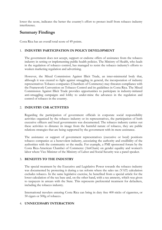lower the score, indicates the better the country's effort to protect itself from tobacco industry interference.

# **Summary Findings**

Costa Rica has an overall total score of 49 points.

# 1. **INDUSTRY PARTICIPATION IN POLICY DEVELOPMENT**

The government does not accept, support or endorse offers of assistance from the tobacco industry in setting or implementing public health policies. The Ministry of Health, who leads in the regulation of tobacco control, has managed to resist the tobacco industry's efforts to weaken marketing regulation and advertising.

However, the Mixed Commission Against Illicit Trade, an inter-ministerial body that, although it was created to fight against smuggling in general, the incorporation of industry representatives Tobacco companies (Chambers of Commerce) may threaten compliance with the Framework Convention on Tobacco Control and its guidelines in Costa Rica. The Mixed Commission Against Illicit Trade provides opportunities to participate in industry-initiated anti-smuggling campaigns and lobby to under-mine the advances in the regulation and control of tobacco in the country.

#### 2. **INDUSTRY CSR ACTIVITIES**

Regarding the participation of government officials in corporate social responsibility activities organized by the tobacco industry or its representatives, the participation of both executive officers and local governments was documented. The tobacco industry carries out these activities to distance its image from the harmful nature of tobacco, they are public relations strategies that are being supported by the government with its mere assistance.

The assistance or support of government representatives (executive or local) positions tobacco companies as a benevolent industry, associating the authority and credibility of the authorities with the community or the media. For example, a PMI sponsored forum by the Costa Rica-American Chamber of Commerce (AmCham) on gender equality and women's labor where Vice Minister of the Ministry of Labor and Social Security was a panel speaker.

#### 3. **BENEFITS TO THE INDUSTRY**

The special treatment by the Executive and Legislative Power towards the tobacco industry was documented by protecting it during a tax reform where the sales tax (VAT) calculation excludes tobacco. In the same legislative exercise, he benefited from a special article for the lower calculation of the tax base and, on the other hand, with a tax amnesty, which was given to taxpayers in arrears with the State. This represents preferential treatment for defaulters, including the tobacco industry.

International travelers entering Costa Rica can bring in duty free 400 sticks of cigarettes, or 50 cigars or 500g of tobacco.

#### 4. **UNNECESSARY INTERACTION**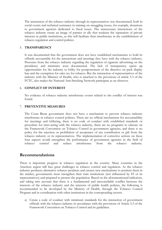The interaction of the tobacco industry through its representatives was documented, both in social events and technical assistance in training on smuggling issues, for example, donations to government agencies dedicated to fiscal issues. The unnecessary interactions of the tobacco industry create an image of partner or ally that weakens the separation of private interests in public institutions, as this will facilitate their interference in the establishment of tobacco regulation and control policies.

#### 5. **TRANSPARENCY**

It was documented that the government does not have established mechanisms to hold its officials accountable for the interactions and meetings they have with the tobacco industry. Pressures from the tobacco industry regarding the regulation of cigarette advertising on the presidency and ministries were documented. The lack of transparency opens up opportunities for the industry to lobby for postponement of the directive on pack display ban and the exemption for sales tax for tobacco. But the interaction of representatives of the industry with the Minister of Health, who is attached to the provisions of article 5.3 of the FCTC, also makes the National Anti-Smoking Network participate as an observer.

## 6. **CONFLICT OF INTEREST**

No evidence of tobacco industry interference events related to the conflict of interest was found.

#### 7. **PREVENTIVE MEASURES**

The Costa Rican government does not have a mechanism to prevent tobacco industry interference in tobacco control policies. There are no official mechanisms for accountability for meetings and lobbying, there is no code of conduct with established standards or procedure for inter-acting with the tobacco industry, there are no programs to educate on the Framework Convention on Tobacco Control in government agencies, and there is no policy for the rejection or prohibition of acceptance of any contribution or gift from the tobacco industry or its representatives. The implementation of corrective actions on these four aspects would strengthen the performance of government agencies in the field of tobacco control and reduce interference from the tobacco industry.

# **Recommendations**

There is important progress in tobacco regulation in the country. Many countries in the Americas region still face great challenges in tobacco control and regulation. As the tobacco industry produces alternative tobacco products and creates new mechanisms to position them in the market, governments must strengthen their state institutions (not influenced by IT or its representatives) and prepared to protect the population. Based on the aforementioned indicators, and taking into account that there is a fundamental and irreconcilable conflict between the interests of the tobacco industry and the interests of public health policies, the following is recommended to be developed by the Ministry of Health, through the Tobacco Control Program and in coordination with other institutions in the corresponding sectors.

a) Create a code of conduct with minimum standards for the interaction of government officials with the tobacco industry in accordance with the provisions of Article 5.3 of the Framework Convention on Tobacco Control and its guidelines.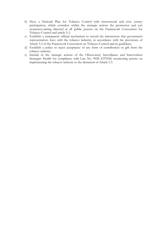- b) Have a National Plan for Tobacco Control with intersectoral and civic society participation, which considers within the strategic actions the promotion and (or) awareness-raising directed at all public powers on the Framework Convention for Tobacco Control and article 5.3.
- c) Establish a transparent official mechanism to record the interactions that government representatives have with the tobacco industry, in accordance with the provisions of Article 5.3 of the Framework Convention on Tobacco Control and its guidelines.
- d) Establish a policy to reject acceptance of any form of contribution or gift from the tobacco industry.
- e) Include in the strategic actions of the Observatory Surveillance and Intervention Strategies Health for compliance with Law No. 9028 (OVEIS) monitoring actions on implementing the tobacco industry to the detriment of Article 5.3.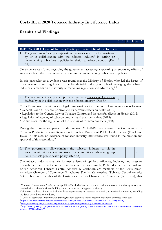# **Costa Rica: 2020 Tobacco Industry Interference Index**

# **Results and Findings**

|                                                                                                                                                                                                                                                                                                                                                                                                                                                                                                                                                                                                                                                                                                                                                                                    | 0            |  |  |  |   |  |  |  |  |  |  |
|------------------------------------------------------------------------------------------------------------------------------------------------------------------------------------------------------------------------------------------------------------------------------------------------------------------------------------------------------------------------------------------------------------------------------------------------------------------------------------------------------------------------------------------------------------------------------------------------------------------------------------------------------------------------------------------------------------------------------------------------------------------------------------|--------------|--|--|--|---|--|--|--|--|--|--|
| <b>INDICATOR 1: Level of Industry Participation in Policy-Development</b>                                                                                                                                                                                                                                                                                                                                                                                                                                                                                                                                                                                                                                                                                                          |              |  |  |  |   |  |  |  |  |  |  |
| The government <sup>5</sup> accepts, supports or endorses any offer for assistance<br>1.<br>by or in collaboration with the tobacco industry <sup>6</sup> in setting or<br>implementing public health policies in relation to tobacco control <sup>7</sup> (Rec<br>3.1)                                                                                                                                                                                                                                                                                                                                                                                                                                                                                                            | $\mathbf x$  |  |  |  |   |  |  |  |  |  |  |
| No evidence was found regarding the government accepting, supporting or endorsing offers of<br>assistance from the tobacco industry in setting or implementing public health policies.                                                                                                                                                                                                                                                                                                                                                                                                                                                                                                                                                                                             |              |  |  |  |   |  |  |  |  |  |  |
| In this particular case, evidence was found that the Ministry of Health, who led the issues of<br>tobacco control and regulation in the health field, did a good job of managing the tobacco<br>industry's demands on the severity of marketing regulation and advertising. <sup>89</sup>                                                                                                                                                                                                                                                                                                                                                                                                                                                                                          |              |  |  |  |   |  |  |  |  |  |  |
| The government accepts, supports or endorses policies or legislation<br>2.<br>drafted by or in collaboration with the tobacco industry. (Rec 3.4)                                                                                                                                                                                                                                                                                                                                                                                                                                                                                                                                                                                                                                  | $\mathbf{x}$ |  |  |  |   |  |  |  |  |  |  |
| Costa Rican government has set a legal framework for tobacco control and regulation as follows:<br>• General Law on Tobacco Control and its harmful effects on health (2012)<br>• Regulation to the General Law of Tobacco Control and its harmful effects on Health (2012)<br>• Regulation of labeling of tobacco products and their derivatives (2013)<br>• Commission for the regulation of the labeling of tobacco products (2018)<br>During the observation period of this report (2018-2019), was created the Commission for<br>Tobacco Products Labeling Regulation through a Ministry of Public Health decree (Resolution<br>1593). In this case, no evidence of tobacco industry interference was found in the creation and<br>approval of this resolution. <sup>10</sup> |              |  |  |  |   |  |  |  |  |  |  |
| The government allows/invites the tobacco industry to sit in<br>3.<br>government interagency/ multi-sectoral committee/ advisory group<br>body that sets public health policy. (Rec 4.8)                                                                                                                                                                                                                                                                                                                                                                                                                                                                                                                                                                                           |              |  |  |  | X |  |  |  |  |  |  |
| The tobacco industry channels its mechanisms of opinion, influence, lobbying and pressure<br>through the chambers of commerce in the country. For example, Philip Morris International and<br>British American Tobacco Central America & Caribbean are members of the Costa Rican-<br>American Chamber of Commerce (AmCham). The British American Tobacco Central America<br>& Caribbean is a member of the Costa Rican British Chamber of Commerce (BritCham), also,                                                                                                                                                                                                                                                                                                              |              |  |  |  |   |  |  |  |  |  |  |
| <sup>5</sup> The term "government" refers to any public official whether or not acting within the scope of authority as long as<br>cloaked with such authority or holding out to another as having such authority                                                                                                                                                                                                                                                                                                                                                                                                                                                                                                                                                                  |              |  |  |  |   |  |  |  |  |  |  |

<sup>6</sup> The term, "tobacco industry' includes those representing its interests or working to further its interests, including the State-owned tobacco industry.

<sup>7</sup> "Offer of assistance" may include draft legislation, technical input, recommendations, oversees study tour <sup>8</sup>https://www.nacion.com/el-pais/salud/empresarios-se-quejan-ante-salud-por/IBETF4SF4NF7BHI5ZIGKD4VQJI/story/ <sup>9</sup> https://www.crhoy.com/nacionales/empresarios-se-quejan-por-regulaciones-y-publicidad-antitabaco/

<sup>10</sup>http://www.pgrweb.go.cr/scij/Busqueda/Normativa/Normas/nrm\_texto\_completo.aspx?param1=NRTC&nValor1=1&nValor2=86917&n Valor3=113002&strTipM=TC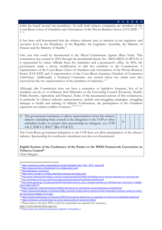#### **0 1 2 3 4 5**

holds the board second vice-presidency. As well, both tobacco companies are members of the Costa Rican Union of Chambers and Associations of the Private Business Sector (UCCAEP).<sup>11 12</sup> 13 14

It has been well documented that the tobacco industry tries to interfere at the regulatory and executive level in the Presidency of the Republic, the Legislative Assembly, the Ministry of Finance and the Ministry of Health.<sup>15</sup>

One case that could be documented is the Mixed Commission Against Illicit Trade. This commission was created in 2014 through the presidential decree No. 38410-MEIC-G-SP-S-H. It is represented by senior officials from five ministries and a prosecutor's office. In 2016, the government made a decree modification to add two members to the Commission: A representative of the Costa Rican Union of Chambers and Associations of the Private Business Sector (UCCAEP) and A representative of the Costa Rican-American Chamber of Commerce (AmCham). Additionally, a Technical Committee was created where two chairs were also reserved for the two representatives of the chambers of industries.<sup>16 17</sup>

Although, this Commission does not have a normative or legislative character, five of its members can do so or influence their Ministries or the Governing Council (Economy, Health, Public Security, Agriculture and Finance). Some of the documented actions of this commission, in particular its tobacco industry representatives, include anti-smuggling campaigns, smuggling damages to health and training of officials. Furthermore, the participation of the Chambers represents an evident conflict of interest. <sup>18</sup> <sup>19</sup> <sup>20</sup> <sup>21</sup>

| 4. The government nominates or allows representatives from the tobacco<br>industry (including State-owned) in the delegation to the COP or other<br>subsidiary bodies or accepts their sponsorship for delegates. (i.e. COP | $\mathbf{x}$ |  |  |
|-----------------------------------------------------------------------------------------------------------------------------------------------------------------------------------------------------------------------------|--------------|--|--|
| 4 & 5, INB 4 5, WG) <sup>22</sup> (Rec 4.9 & 8.3)                                                                                                                                                                           |              |  |  |

The Costa Rican government delegation to the COP does not allow participation of the tobacco industry. Sponsorship for conference attendance was also not documented.

#### **Eighth Session of the Conference of the Parties to the WHO Framework Convention on**  Tobacco Control<sup>23</sup> Chief delegate:

http://www.who.int/fctc/cop/en/

<sup>11</sup> https://untobaccocontrol.org/impldb/wp-content/uploads/Costa\_Rica\_2018\_report.pdf

<sup>12</sup> https://www.amcham.cr/miembros/?cn-s=tobacco&cn-cat=

<sup>13</sup> http://britchamcr.com/en/en/

<sup>14</sup> https://www.uccaep.or.cr/index.php/about/camaras-asociadas.html

<sup>15</sup> http://www.rednacionalantitabaco.com/wp-content/uploads/2012/06/El-%C3%A9xito-de-la-industria-tabacalera-en-Costa-Rica.pdf

<sup>16</sup> http://reventazon.meic.go.cr/informacion/gaceta/2014/mayo/semana03/decreto38410.pdf

<sup>17</sup>http://www.pgrweb.go.cr/scij/Busqueda/Normativa/Normas/nrm\_texto\_completo.aspx?param1=NRTC&nValor1=1&nValor2=77288&n Valor3=0&strTipM=TC

<sup>18</sup> https://adiariocr.com/nacionales/conflicto-de-interes-en-comisiones-juntas-directivas-y-ministerios/

<sup>19</sup> https://www.hacienda.go.cr/noticias/15061-comision-mixta-contra-comercio-ilicito-intensifica-acciones-contra-la-ventade-mercancias-ilegales-en-el-pais

<sup>20</sup> https://www.hacienda.go.cr/noticias/15043-funcionarios-aduaneros-se-capacitan-en-temas-de-propiedad-intelectual <sup>21</sup> https://amcham.cr/en/amcham-se-une-a-lucha-contra-el-comercio-ilicito/

<sup>22</sup> Please annex a list since 2009 so that the respondent can quantify the frequency,

<sup>23</sup> https://www.who.int/fctc/cop/sessions/cop8/LOP\_Final.pdf?ua=1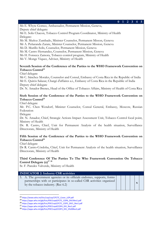**0 1 2 3 4 5**

Ms E. Whyte Gomez, Ambassador, Permanent Mission, Geneva, Deputy chief delegate:

Mr E. Solis Chacon, Tobacco Control Program Coordinator, Ministry of Health Delegate:

Ms M. Muñoz Zumbado, Minister Counselor, Permanent Misson, Geneva

Mr A. Peñaranda Zarate, Minister Counselor, Permanent Mission, Geneva

Ms D. Murillo Solis, Counselor, Permanent Mission, Geneva

Ms M. Castro Hernandez, Counselor, Permanent Mission, Geneva

Ms H. Fonseca Zamora, Tobacco control program, Ministry of Health

Ms V. Monge Viquez, Adviser, Ministry of Health

# **Seventh Session of the Conference of the Parties to the WHO Framework Convention on**  Tobacco Control<sup>24</sup>

Chief delegate

Mr C. Sánchez Morales, Counselor and Consul, Embassy of Costa Rica in the Republic of India Mr E. Quirós Salazar, Chargé d'affaires a.i., Embassy of Costa Rica in the Republic of India Deputy chief delegate

Dr. N. Amador Brenes, Head of the Office of Tobacco Affairs, Ministry of Health of Costa Rica

# **Sixth Session of the Conference of the Parties to the WHO Framework Convention on Tobacco Control25**

Chief delegate

Mr. P.C. Chen Wendorf, Minister Counselor, Consul General, Embassy, Moscow, Russian Federation

Delegate

Dr. N. Amador, Chief, Strategic Actions Impact Assessment Unit, Tobacco Control focal point, Ministry of Health

Dr. R. Castro, Chief, Unit for Permanent Analysis of the health situation, Surveillance Directorate, Ministry of Health

## **Fifth Session of the Conference of the Parties to the WHO Framework Convention on Tobacco Control26**

Chief delegate

Dr R. Castro-Córdoba, Chief, Unit for Permanent Analysis of the health situation, Surveillance Directorate, Ministry of Health

## **Third Conference Of The Parties To The Who Framework Convention On Tobacco Control Delegate (s)27 <sup>28</sup>**

Sr. F. Paredes Valverde, Ministry of Health

#### **INDICATOR 2: Industry CSR activities**

5. A. The government agencies or its officials endorses, supports, forms partnerships with or participates in so-called CSR activities organized by the tobacco industry. (Rec  $6.2$ )

<sup>24</sup> https://www.who.int/fctc/cop/cop7/FCTC\_Cover\_LOP.pdf

<sup>25</sup> https://apps.who.int/gb/fctc/PDF/cop6/FCTC\_COP6\_DIV1Rev1.pdf

<sup>26</sup> https://apps.who.int/gb/fctc/PDF/cop5/FCTC\_COP5\_DIV1\_Rev1.pdf

<sup>27</sup> https://apps.who.int/gb/fctc/PDF/cop4/COP4\_DIV\_Rev1.pdf

<sup>28</sup> https://apps.who.int/gb/fctc/PDF/cop3/COP3\_DIV\_2%20Rev2.pdf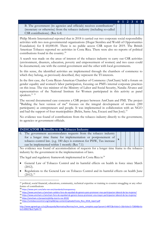|                                                                                     |  | $0 \mid 1 \mid 2 \mid 3 \mid 4 \mid 5$ |  |
|-------------------------------------------------------------------------------------|--|----------------------------------------|--|
| B. The government (its agencies and officials) receives contributions <sup>29</sup> |  |                                        |  |
| (monetary or otherwise) from the tobacco industry (including so-called              |  |                                        |  |
| CSR contributions). (Rec 6.4)                                                       |  |                                        |  |

Philip Morris International reported that in 2018 it carried out two corporate social responsibility activities with two non-governmental organizations (Hogar Siembra and World of Opportunities Foundation) for \$ 60,000.00. There is no public access CSR report for 2019. The British American Tobacco reported no activities in Costa Rica. There were also no reports of political contributions found in the country.30

A search was made on the areas of interest of the tobacco industry to carry out CSR activities (environment, disasters, education, poverty and empowerment of women) and two cases could be documented, one with the central government and the other with local governments.

In this sense, the identified activities are implemented through the chambers of commerce to which they belong, as previously described, they represent the TI interests.

In the first case, the Costa Rican-American Chamber of Commerce (AmCham) held a forum on gender equality and women's labor participation, focusing on PMI's internal corporate practices on this issue. The vice minister of the Ministry of Labor and Social Security, Natalia Álvarez and representatives of the National Institute for Women participated in this activity as panel speakers.<sup>31</sup> <sup>32</sup>

The second documented case concerns a CSR project between AmCham and PMI. The project "Building the best version of me" focuses on the integral development of women (200 participants) as entrepreneurs and people. It was implemented in collaboration with an NGO and had the support of four municipalities (Belén, Santa Ana, Escazú and San José).<sup>33</sup>

No evidence was found of contributions from the tobacco industry directly to the government, its agencies or government officials.

| <b>INDICATOR 3: Benefits to the Tobacco Industry</b>                                                                                                                                                                                                                |  |  |  |
|---------------------------------------------------------------------------------------------------------------------------------------------------------------------------------------------------------------------------------------------------------------------|--|--|--|
| 6. The government accommodates requests from the tobacco industry<br>for a longer time frame for implementation or postponement of $\vert$ .<br>tobacco control law. (e.g. 180 days is common for PHW, Tax increase<br>can be implemented within 1 month) (Rec 7.1) |  |  |  |

No evidence was found of accommodation of requests for a longer time frame to the tobacco industry by the government in the implementation of laws.

The legal and regulatory framework implemented in Costa Rica is:<sup>34</sup>

- General Law of Tobacco Control and its harmful effects on health in force since March (2012).
- Regulations to the General Law on Tobacco Control and its harmful effects on health June  $(2012).^{35}$

<sup>&</sup>lt;sup>29</sup> political, social financial, educations, community, technical expertise or training to counter smuggling or any other forms of contributions

<sup>30</sup> https://www.pmi.com/who-we-are/standards/transparency

<sup>31</sup> https://www.amcham.cr/amcham-celebro-foro-de-equidad-de-genero-para-promover-mas-participacion-laboral-de-las-mujeres/

<sup>32</sup> https://www.amcham.cr/amcham-foro-de-equidad-de-genero-busca-promover-una-mayor-participacion-laboral-de-las-mujeres/

<sup>33</sup> https://amcham.cr/proyecto/philip-morris-rse-2019/

<sup>34</sup> https://untobaccocontrol.org/impldb/wp-content/uploads/Costa\_Rica\_2018\_report.pdf

<sup>35</sup>

http://www.pgrweb.go.cr/scij/Busqueda/Normativa/Normas/nrm\_texto\_completo.aspx?param1=NRTC&nValor1=1&nValor2=72804&nVa lor3=89027&strTipM=TC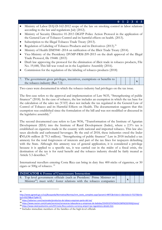## **0 1 2 3 4 5**

- Ministry of Labor DAJ-D-162-2012 scope of the law on smoking control in labor relations according to the law and regulations July (2012).
- Ministry of Security Directive 01-2013 DGFP Police Action Protocol in the application of the General Law of Tobacco Control and its harmful effects on health. (2013).
- Subscription to the Illegal Tobacco Trade Treaty (2013).
- Regulation of Labeling of Tobacco Products and its Derivatives (2013).<sup>36</sup>
- Ministry of Health DM5940 -2014 on ratification of the Illicit Trade Treaty (2014).
- Vice-Ministry of the Presidency DVMP-FRM-209-2015 on the draft approval of the Illegal Trade Protocol, file 19448. (2015)
- Draft law approving the protocol for the elimination of illicit trade in tobacco products, File No. 19,448, This bill was voted on in the Legislative Assembly (2016).
- Commission for the regulation of the labeling of tobacco products (2018)

| 7. The government gives privileges, incentives, exemptions or benefits to |  |  | $ -$ |  |
|---------------------------------------------------------------------------|--|--|------|--|
| the tobacco industry (Rec 7.3)                                            |  |  |      |  |

Two cases were documented in which the tobacco industry had privileges on the tax issue.

The first case refers to the approval and implementation of Law 9635, "Strengthening of public finances" (2018). In the case of tobacco, the law includes an exemption in which the tax base for the calculation of the sales tax (VAT) does not include the tax regulated in the General Law of Control of Tobacco and its Harmful Effects on Health. The documentation suggests that this exemption was established since the formulation of the bill and was not modified or discussed in the legislative assembly.37

The second documented case refers to Law 9036, "Transformation of the Institute of Agrarian Development (IDA) into the Institute of Rural Development (Inder), where a 2.5% tax is established on cigarettes made in the country with national and imported tobacco. This law also taxes alcoholic and carbonated beverages. By the end of 2018, these industries owed the Inder ₡45,636 million (\$ 79.3 million). "Strengthening of public finances" Law in 2018 included a tax amnesty for the total forgiveness of interests and part of the tax fines for taxpayers defaulting with the State. Although this amnesty was of general application, it is considered a privilege because it is applied to a specific tax, it was carried out in the midst of a fiscal crisis, the destination of the tax is for rural benefit and the tobacco industry should be fairly treated as Article 5.3 describes.38

International travellers entering Costa Rica can bring in duty free 400 sticks of cigarettes, or 50 cigars or 500g of tobacco. <sup>39</sup>

| <b>INDICATOR 4: Forms of Unnecessary Interaction</b>                                                                                                       |  |  |  |
|------------------------------------------------------------------------------------------------------------------------------------------------------------|--|--|--|
| 8. Top level government officials (such as President/ Prime Minister or<br>Minister <sup>40</sup> ) meet with/ foster relations with the tobacco companies |  |  |  |

<sup>36</sup>

http://www.pgrweb.go.cr/scij/Busqueda/Normativa/Normas/nrm\_texto\_completo.aspx?param1=NRTC&nValor1=1&nValor2=75275&nVa lor3=93278&strTipM=TC

<sup>37</sup> https://adiariocr.com/nacionales/productos-de-tabaco-esquivan-parte-del-iva/

<sup>38</sup> https://www.nacion.com/el-pais/servicios/cerveceras-tabacaleras-y-empresas-de-bebidas/55H5FJCFIVFWJOV2WP6CEGYKXQ/story/

<sup>39</sup> https://www.iatatravelcentre.com/CR-Costa-Rica-customs-currency-airport-tax-regulations-details.htm

<sup>40</sup> Includes immediate members of the families of the high-level officials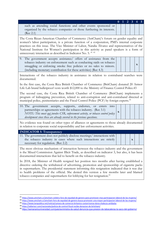|                                                                       |  | $0 \quad 1 \quad 2 \quad 3 \quad 4 \quad 5$ |  |
|-----------------------------------------------------------------------|--|---------------------------------------------|--|
| such as attending social functions and other events sponsored or      |  |                                             |  |
| organized by the tobacco companies or those furthering its interests. |  |                                             |  |
| (Rec 2.1)                                                             |  |                                             |  |

The Costa Rican-American Chamber of Commerce (AmCham)'s forum on gender equality and women's labor participation, is a private function of a corporation, PMI's internal corporate practices on this issue. The Vice Minister of Labor, Natalia Álvarez and representatives of the National Institute for Women's participation in this activity as panel speakers is a form of unnecessary interaction as described in Indicator No. 5.<sup>41 42</sup>

| 9. The government accepts assistance/ offers of assistance from the |  |  |  |
|---------------------------------------------------------------------|--|--|--|
| tobacco industry on enforcement such as conducting raids on tobacco |  |  |  |
| smuggling or enforcing smoke free policies or no sales to minors.   |  |  |  |
| (including monetary contribution for these activities) (Rec 4.3)    |  |  |  |

Interactions of the tobacco industry in assistance in relation to contraband searches were documented.

In the first case, the Costa Rica British Chamber of Commerce (BritCham) donated 20 Armor Life Lab brand bulletproof vests worth \$12,000 to the Ministry of Finance Control Police.43

The second case, the Costa Rica British Chamber of Commerce (BritCham) implements a program of kidnapping prevention, related to anti-corruption and anti-contraband directed at municipal police, penitentiaries and the Fiscal Control Police (PCF) by foreign experts.<sup>44</sup>

|                                                                                  | 10. The government accepts, supports, endorses, or enters into |  |  |  |  |  |  |  |  |
|----------------------------------------------------------------------------------|----------------------------------------------------------------|--|--|--|--|--|--|--|--|
| partnerships or agreements with the tobacco industry. (Rec 3.1)                  |                                                                |  |  |  |  |  |  |  |  |
| NOTE: This must not involve CSR, enforcement activity, or tobacco control policy |                                                                |  |  |  |  |  |  |  |  |
| development since these are already covered in the previous questions.           |                                                                |  |  |  |  |  |  |  |  |

No evidence was found on other types of alliances or agreements to those already documented in relation to corporate social responsibility and law enforcement activities.

**INDICATOR 5: Transparency**

|  |                                     |  |  | 11. The government does not publicly disclose meetings/interactions with |  |
|--|-------------------------------------|--|--|--------------------------------------------------------------------------|--|
|  |                                     |  |  | the tobacco industry in cases where such interactions are strictly       |  |
|  | necessary for regulation. (Rec 2.2) |  |  |                                                                          |  |

The most obvious mechanism of interaction between the tobacco industry and the government is the Mixed Commission Against Illicit Trade, as described on indicator 3, but also, it has been documented interactions that led to benefit on the tobacco industry.

**x**

In 2018, the Minister of Health resigned her position two months after having established a directive ordering the withdrawal of advertising, promotion and sponsorship of cigarette packs in supermarkets. The presidential statement informing this resignation indicated that it was due to health problems of the official. She denied this version a few months later and blamed tobacco companies and supermarkets for lobbying for her resignation.45

<sup>41</sup> https://www.amcham.cr/amcham-celebro-foro-de-equidad-de-genero-para-promover-mas-participacion-laboral-de-las-mujeres/

<sup>42</sup> https://www.amcham.cr/amcham-foro-de-equidad-de-genero-busca-promover-una-mayor-participacion-laboral-de-las-mujeres/

<sup>43</sup> https://www.larepublica.net/noticia/camara-de-comercio-britanico-costarricense-dona-chalecos-antibalas

<sup>44</sup> https://adiariocr.com/nacionales/policia-de-control-fiscal-recibe-donacion-de-britcham/

<sup>45</sup> https://semanariouniversidad.com/pais/exministra-de-salud-denuncia-que-presion-de-tabacaleras-la-saco-del-gobierno/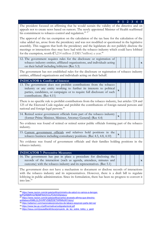**0 1 2 3 4 5** The president focused on affirming that he would sustain the validity of the directive and on appeals not to create news based on rumors. The newly appointed Minister of Health reaffirmed his commitment to tobacco control and regulation.<sup>46 47</sup>

The approval of the tax exemption on the calculation of the tax base for the calculation of the value added tax, arose from the presidency and was not modified or questioned in the legislative assembly. This suggests that both the presidency and the legislature do not publicly disclose the meetings or interactions they may have had with the tobacco industry which could have lobbied for the exemption, worth  $2,214$  million (UD\$5.7million) a year.<sup>48</sup>

12. The government requires rules for the disclosure or registration of tobacco industry entities, affiliated organizations, and individuals acting on their behalf including lobbyists (Rec 5.3)

**x**

**x**

**x**

The government has not established rules for the disclosure or registration of tobacco industry entities, affiliated organizations and individuals acting on their behalf.

| <b>INDICATOR 6: Conflict of Interest</b>                                |  |
|-------------------------------------------------------------------------|--|
| 13. The government does not prohibit contributions from the tobacco     |  |
| industry or any entity working to further its interests to political    |  |
| parties, candidates, or campaigns or to require full disclosure of such |  |
| contributions. (Rec 4.11)                                               |  |

There is no specific rule to prohibit contributions from the tobacco industry, but articles 124 and 125 of the Electoral Code regulate and prohibit the contributions of foreign natural persons and national and foreign legal persons.<sup>49</sup>

14. Retired senior government officials form part of the tobacco industry (former Prime Minister, Minister, Attorney General) (Rec 4.4) **<sup>x</sup>**

No evidence was found of retired or retired senior public officials forming part of the tobacco industry.

15. Current government officials and relatives hold positions in the tobacco business including consultancy positions. (Rec 4.5, 4.8, 4.10) **<sup>x</sup>**

No evidence was found of government officials and their families holding positions in the tobacco industry.

**INDICATOR 7: Preventive Measures** 

16. The government has put in place a procedure for disclosing the records of the interaction (such as agenda, attendees, minutes and outcome) with the tobacco industry and its representatives. (Rec 5.1)

The government does not have a mechanism to document or disclose records of interactions with the tobacco industry and its representatives. However, there is a draft bill to regulate lobbying in public administration. Since its formulation, there has been no progress to convert it into  $law<sup>50</sup>$ 

<sup>46</sup> https://www.nacion.com/el-pais/politica/ministro-de-salud-no-vamos-a-derogar-

la/PQHM6RVQ7BDMFNXOVCLPCK4VDQ/story/

<sup>47</sup> https://www.nacion.com/el-pais/politica/carlos-alvarado-afirma-que-directriz-

antitabaco/KM6L2LZHVRFVDBZE5ETWRNNJNY/story/

<sup>48</sup> https://adiariocr.com/nacionales/productos-de-tabaco-esquivan-parte-del-iva/

<sup>49</sup> https://www.tse.go.cr/pdf/normativa/codigoelectoral.pdf

<sup>50</sup> https://issuu.com/josuealfaro6/docs/proyecto\_de\_ley\_sobre\_lobby\_y\_gesti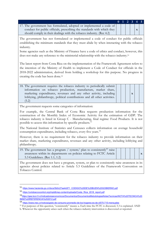|                                                                         |  | $0 \mid 1 \mid 2 \mid 3 \mid 4 \mid 5$ |  |
|-------------------------------------------------------------------------|--|----------------------------------------|--|
| 17. The government has formulated, adopted or implemented a code of     |  |                                        |  |
| conduct for public officials, prescribing the standards with which they |  |                                        |  |
| should comply in their dealings with the tobacco industry. (Rec 4.2)    |  |                                        |  |

The government has not formulated or implemented a code of conduct for public officials establishing the minimum standards that they must abide by when interacting with the tobacco industry.

Some agencies such as the Ministry of Finance have a code of ethics and conduct, however, this does not make any reference to the ministerial relationship with the tobacco industry.51

The latest report from Costa Rica on the implementation of the Framework Agreement refers to the intention of the Ministry of Health to implement a Code of Conduct for officials in the 2018-2022 administration, derived from holding a workshop for this purpose. No progress in creating the code has been done.52

| 18. The government requires the tobacco industry to periodically submit   |  |
|---------------------------------------------------------------------------|--|
| information on tobacco production, manufacture, market share,             |  |
| marketing expenditures, revenues and any other activity, including        |  |
| lobbying, philanthropy, political contributions and all other activities. |  |
| (5.2)                                                                     |  |

The government requests some categories of information:

For example, the Central Bank of Costa Rica requests production information for the construction of the Monthly Index of Economic Activity for the estimation of GDP. The tobacco industry is listed in Group C - Manufacturing, final regime: Food Products. It is not possible to access this information by specific products.<sup>53</sup>

The National Institute of Statistics and Censuses collects information on average household consumption expenditures, including tobacco, every five years.<sup>54</sup>

However, there is no requirement for the tobacco industry to provide information on their market share, marketing expenditures, revenues and any other activity, including lobbying and philanthropy.

19. The government has a program / system/ plan to consistently<sup>55</sup> raise awareness within its departments on policies relating to FCTC Article 5.3 Guidelines. (Rec 1.1, 1.2)



**x**

The government does not have a program, system, or plan to consistently raise awareness in its agencies about policies related to Article 5.3 Guidelines of the Framework Convention on Tobacco Control.

<sup>51</sup> https://www.hacienda.go.cr/docs/5b0c27aa4c871\_CODIGO%20DE%20BUEN%20GOBIERNO.pdf

<sup>52</sup> https://untobaccocontrol.org/impldb/wp-content/uploads/Costa\_Rica\_2018\_report.pdf

<sup>53</sup>https://gee.bccr.fi.cr/indicadoreseconomicos/Documentos/DocumentosMetodologiasNotasTecnicas/NOTA%20TECNICA%20 IMAE%20REFERENCIA%202012.pdf

<sup>54</sup> https://www.inec.cr/noticia/gasto-de-consumo-promedio-de-los-hogares-es-de-cl575-715-mensuales

<sup>&</sup>lt;sup>55</sup> For purposes of this question, "consistently" means: a. Each time the FCTC is discussed, 5.3 is explained. AND

b. Whenever the opportunity arises such when the tobacco industry intervention is discovered or reported.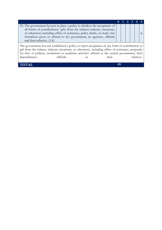| 20. The government has put in place a policy to disallow the acceptance of<br>all forms of contributions/ gifts from the tobacco industry (monetary<br>or otherwise) including offers of assistance, policy drafts, or study visit<br>invitations given or offered to the government, its agencies, officials |  |  |  |  |  |
|---------------------------------------------------------------------------------------------------------------------------------------------------------------------------------------------------------------------------------------------------------------------------------------------------------------|--|--|--|--|--|
| and their relatives. (3.4)                                                                                                                                                                                                                                                                                    |  |  |  |  |  |
| The government has not established a policy to reject acceptance of any form of contribution or                                                                                                                                                                                                               |  |  |  |  |  |

gift from the tobacco industry (monetary or otherwise), including offers of assistance, proposals for laws or policies, invitations to academic activities offered to the central government, their dependencies, officials or their relatives.

**TOTAL 49**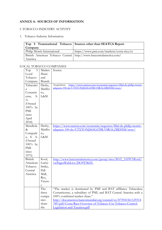# **ANNEX A: SOURCES OF INFORMATION**

# I. TOBACCO INDUSTRY ACTIVITY

# 1. Tobacco Industry Information

| Company                                                              | Top 5 Transnational Tobacco   Sources other than SEATCA Report |
|----------------------------------------------------------------------|----------------------------------------------------------------|
| Philip Morris International                                          | https://www.pmi.com/markets/costa-rica/es                      |
| British American Tobacco Central   http://www.batcentralamerica.com/ |                                                                |
| América                                                              |                                                                |

## LOCAL TOBACCO COMPANIES

| Top<br>5       | Market        | Source                                                                            |
|----------------|---------------|-----------------------------------------------------------------------------------|
| Local          | Share         |                                                                                   |
| Tobacco        | and           |                                                                                   |
| Company        | <b>Brands</b> |                                                                                   |
| Tabacaler      | Derby,        | https://www.nacion.com/economia/negocios/filial-de-philip-morris-<br>Acquisition: |
| a              | Marlbo        | adquiere-100-de/CTXTONJS65G6TBLVSRALZBD5IM/story/                                 |
| Costarric      | ro,           |                                                                                   |
| S.<br>ense,    | L&M           |                                                                                   |
| А.             |               |                                                                                   |
| (Owned         |               |                                                                                   |
| $100%$ by      |               |                                                                                   |
| <b>PMI</b>     |               |                                                                                   |
| since          |               |                                                                                   |
| April          |               |                                                                                   |
| 2018           |               |                                                                                   |
| Mendiola       | Derby,        | https://www.nacion.com/economia/negocios/filial-de-philip-morris-                 |
| &              | Marlbo        | adquiere-100-de/CTXTONJS65G6TBLVSRALZBD5IM/story/                                 |
| Compañí        | ro,           |                                                                                   |
| a, S. A.       | L&M           |                                                                                   |
| (Owned         |               |                                                                                   |
| $100%$ by      |               |                                                                                   |
| PMI            |               |                                                                                   |
| since          |               |                                                                                   |
| 1975)          |               |                                                                                   |
| <b>British</b> | Kool,         | http://www.batcentralamerica.com/group/sites/BAT_AX9FAB.nsf/                      |
| American       | Lucky         | vwPagesWebLive/DO9T5KFL                                                           |
| Tobacco        | Strike,       |                                                                                   |
| Central        | Pall          |                                                                                   |
| América        | Mall,         |                                                                                   |
|                | Rex,          |                                                                                   |
|                | Vicero        |                                                                                   |
|                | V             |                                                                                   |
|                | The           | "The market is dominated by PMI and BAT affiliates: Tabacalera                    |
|                | three         | Costarricense, a subsidiary of PMI, and BAT Central America with a                |
|                | compa         | 100% combined market share."                                                      |
|                | nies          | http://documentos.bancomundial.org/curated/es/875941561129314                     |
|                | share         | 789/pdf/Costa-Rica-Overview-of-Tobacco-Use-Tobacco-Control-                       |
|                | the           | Legislation-and-Taxation.pdf                                                      |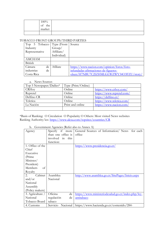| 100%                |  |
|---------------------|--|
| the<br>$\sim$<br>ΟÌ |  |
| market              |  |
|                     |  |

# TOBACCO FRONT GROUPS/THIRD PARTIES

| Top 5 Tobacco   Type (Front |             | Source                                     |
|-----------------------------|-------------|--------------------------------------------|
| Industry                    | Group/      |                                            |
| Representative              | Affiliate/  |                                            |
|                             | Individual) |                                            |
| AMCHAM                      |             |                                            |
| British                     |             |                                            |
| Cámara<br>de                | Afiliate    | https://www.nacion.com/opinion/foros/foro- |
| industrias<br>de            |             | infundadas-afirmaciones-de-figueres-       |
| Costa Rica                  |             | olsen/H7NBU7C2IZHMLGLWZWY34O3FZU/story/    |

#### a. News Sources

| Top 5 Newspaper/Dailies* | Type (Print/Online) |                           |
|--------------------------|---------------------|---------------------------|
| <b>CRHov</b>             | Online              | https://www.crhoy.com/    |
| Repretel                 | Online              | https://www.repretel.com/ |
| Delfino CR               | Online              | https://delfino.cr/       |
| Teletica                 | Online              | https://www.teletica.com/ |
| La Nación                | Print and online    | https://www.nacion.com/   |
|                          |                     |                           |

\*Basis of Ranking: O Circulation O Popularity O Others: Most visited News websites Ranking Authority/ies: https://www.alexa.com/topsites/countries/CR

| Agency           | Specify<br>if<br>more  | General Sources of Information/News<br>for each    |
|------------------|------------------------|----------------------------------------------------|
|                  | than one office is     | office                                             |
|                  | involved<br>this<br>in |                                                    |
|                  | function:              |                                                    |
| 1. Office of the |                        | https://www.presidencia.go.cr/                     |
| Chief            |                        |                                                    |
| Executive        |                        |                                                    |
| (Prime           |                        |                                                    |
| Minister/        |                        |                                                    |
| President)       |                        |                                                    |
| Members<br>οf    |                        |                                                    |
| Royalty          |                        |                                                    |
| Cabinet<br>2.    | Asamblea               | http://www.asamblea.go.cr/SitePages/Inicio.aspx    |
| and/or           | Nacional               |                                                    |
| National         |                        |                                                    |
| Assembly         |                        |                                                    |
| (Policy makers)  |                        |                                                    |
| 3. Agriculture / | Oficina<br>de          | https://www.ministeriodesalud.go.cr/index.php/ley- |
| National         | regulación<br>de       | antitabaco                                         |
| Tobacco Board    | tabaco                 |                                                    |
| 4. Customs       | Servicio<br>Nacional   | https://www.hacienda.go.cr/contenido/284-          |

b. Government Agencies (Refer also to Annex A)